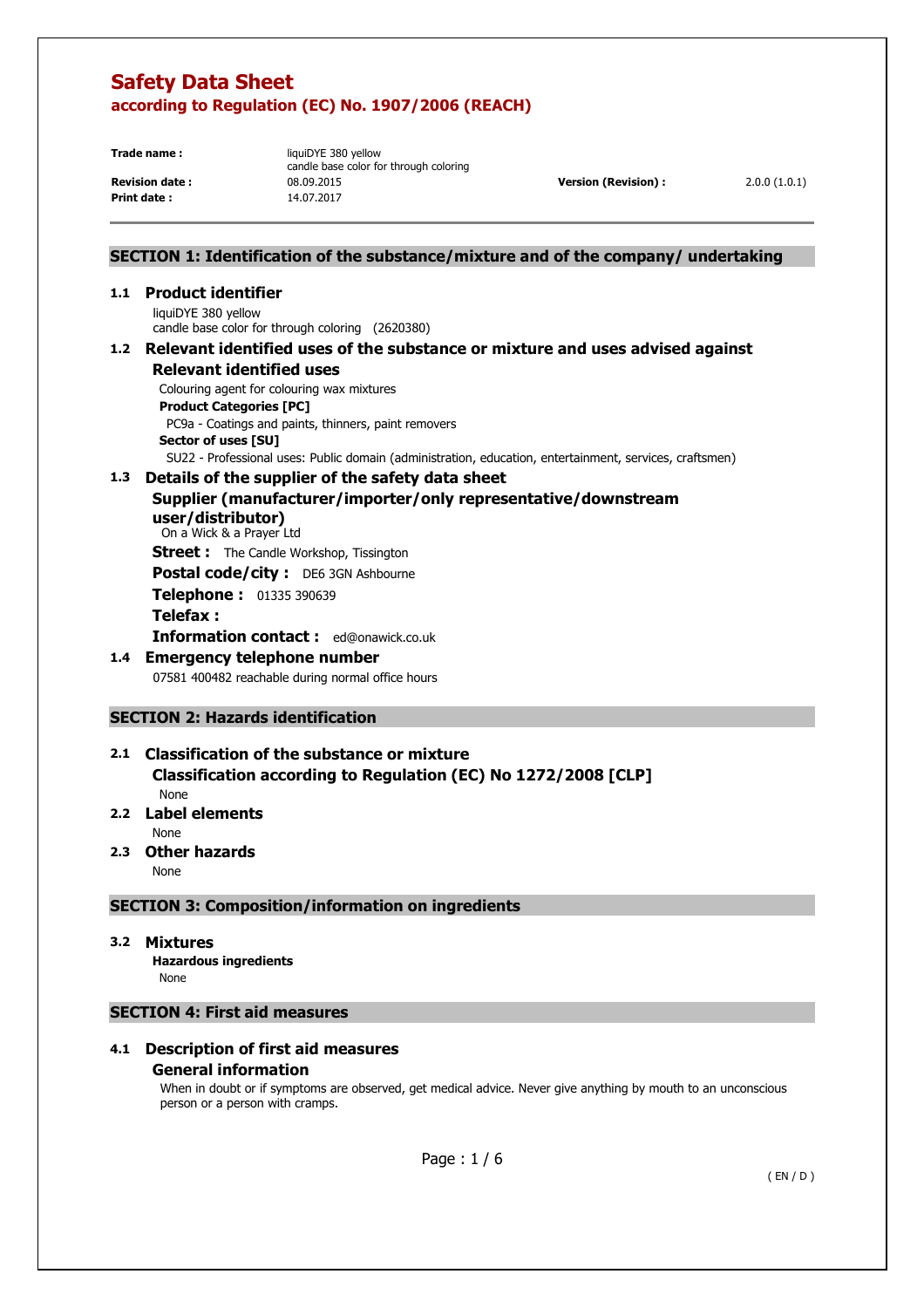**Print date :** 14.07.2017

**Trade name: liquiDYE 380 yellow** candle base color for through coloring **Revision date :** 08.09.2015 **Version (Revision) :** 2.0.0 (1.0.1)

# **SECTION 1: Identification of the substance/mixture and of the company/ undertaking**

# **1.1 Product identifier**

liquiDYE 380 yellow candle base color for through coloring (2620380)

### **1.2 Relevant identified uses of the substance or mixture and uses advised against Relevant identified uses**

Colouring agent for colouring wax mixtures

**Product Categories [PC]** 

 PC9a - Coatings and paints, thinners, paint removers **Sector of uses [SU]** 

SU22 - Professional uses: Public domain (administration, education, entertainment, services, craftsmen)

# **1.3 Details of the supplier of the safety data sheet**

# **Supplier (manufacturer/importer/only representative/downstream**

**user/distributor)**  On a Wick & a Prayer Ltd

**Street :** The Candle Workshop, Tissington

Postal code/city : DE6 3GN Ashbourne

**Telephone :** 01335 390639

### **Telefax :**

**Information contact :** ed@onawick.co.uk

# **1.4 Emergency telephone number**

07581 400482 reachable during normal office hours

# **SECTION 2: Hazards identification**

### **2.1 Classification of the substance or mixture Classification according to Regulation (EC) No 1272/2008 [CLP]**  None

# **2.2 Label elements**

None

**2.3 Other hazards** 

None

# **SECTION 3: Composition/information on ingredients**

### **3.2 Mixtures**

 **Hazardous ingredients** None

# **SECTION 4: First aid measures**

# **4.1 Description of first aid measures**

### **General information**

When in doubt or if symptoms are observed, get medical advice. Never give anything by mouth to an unconscious person or a person with cramps.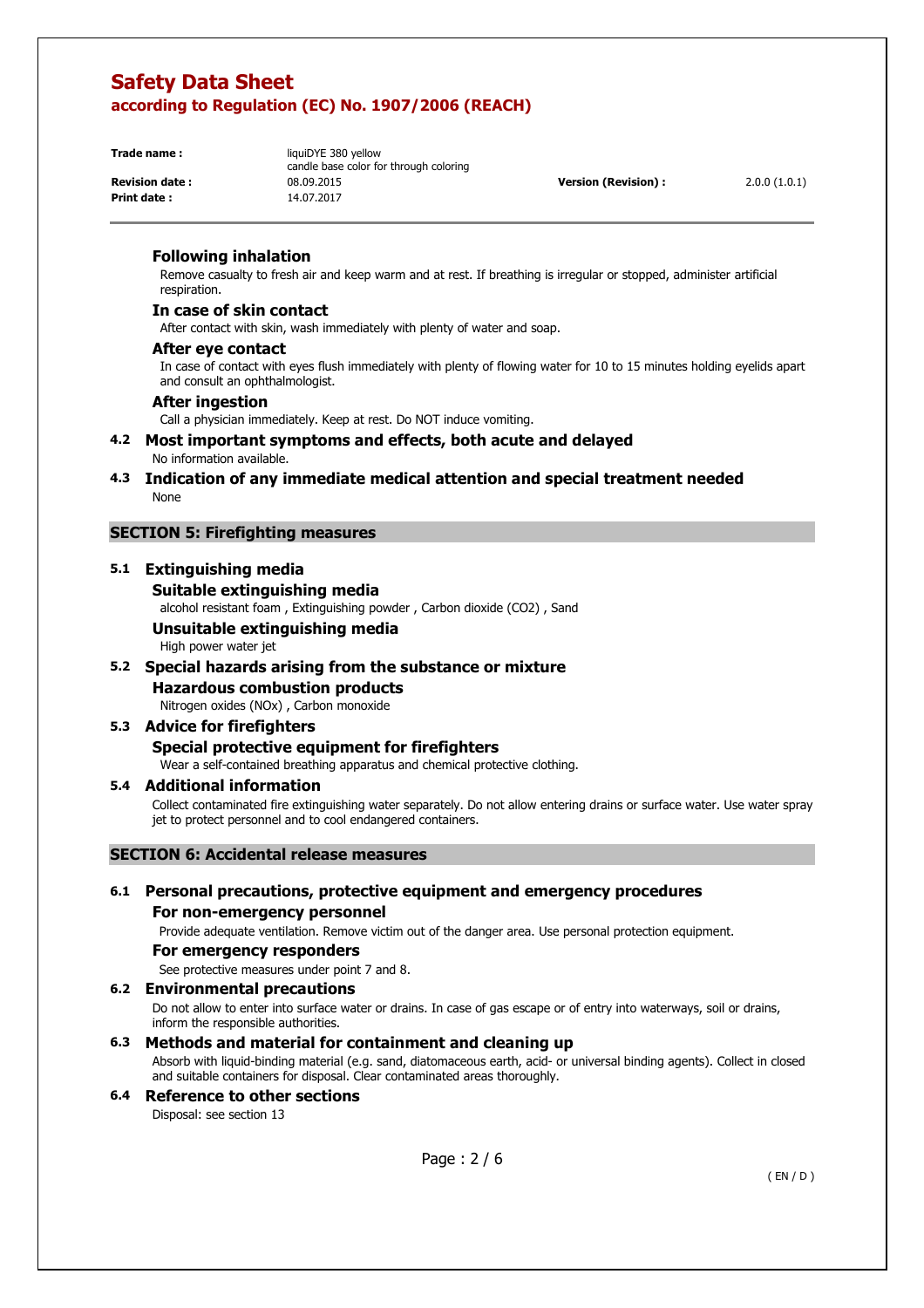**Print date :** 14.07.2017

**Trade name: liquiDYE 380 yellow** candle base color for through coloring **Revision date :** 08.09.2015 **Version (Revision) :** 2.0.0 (1.0.1)

### **Following inhalation**

Remove casualty to fresh air and keep warm and at rest. If breathing is irregular or stopped, administer artificial respiration.

### **In case of skin contact**

After contact with skin, wash immediately with plenty of water and soap.

#### **After eye contact**

In case of contact with eyes flush immediately with plenty of flowing water for 10 to 15 minutes holding eyelids apart and consult an ophthalmologist.

### **After ingestion**

Call a physician immediately. Keep at rest. Do NOT induce vomiting.

### **4.2 Most important symptoms and effects, both acute and delayed**  No information available.

**4.3 Indication of any immediate medical attention and special treatment needed**  None

### **SECTION 5: Firefighting measures**

## **5.1 Extinguishing media**

### **Suitable extinguishing media**

alcohol resistant foam , Extinguishing powder , Carbon dioxide (CO2) , Sand

# **Unsuitable extinguishing media**

High power water jet

### **5.2 Special hazards arising from the substance or mixture**

# **Hazardous combustion products**

Nitrogen oxides (NOx) , Carbon monoxide

### **5.3 Advice for firefighters Special protective equipment for firefighters**

Wear a self-contained breathing apparatus and chemical protective clothing.

#### **5.4 Additional information**

Collect contaminated fire extinguishing water separately. Do not allow entering drains or surface water. Use water spray jet to protect personnel and to cool endangered containers.

### **SECTION 6: Accidental release measures**

### **6.1 Personal precautions, protective equipment and emergency procedures For non-emergency personnel**

Provide adequate ventilation. Remove victim out of the danger area. Use personal protection equipment.

#### **For emergency responders**

See protective measures under point 7 and 8.

### **6.2 Environmental precautions**

Do not allow to enter into surface water or drains. In case of gas escape or of entry into waterways, soil or drains, inform the responsible authorities.

### **6.3 Methods and material for containment and cleaning up**

Absorb with liquid-binding material (e.g. sand, diatomaceous earth, acid- or universal binding agents). Collect in closed and suitable containers for disposal. Clear contaminated areas thoroughly.

### **6.4 Reference to other sections**  Disposal: see section 13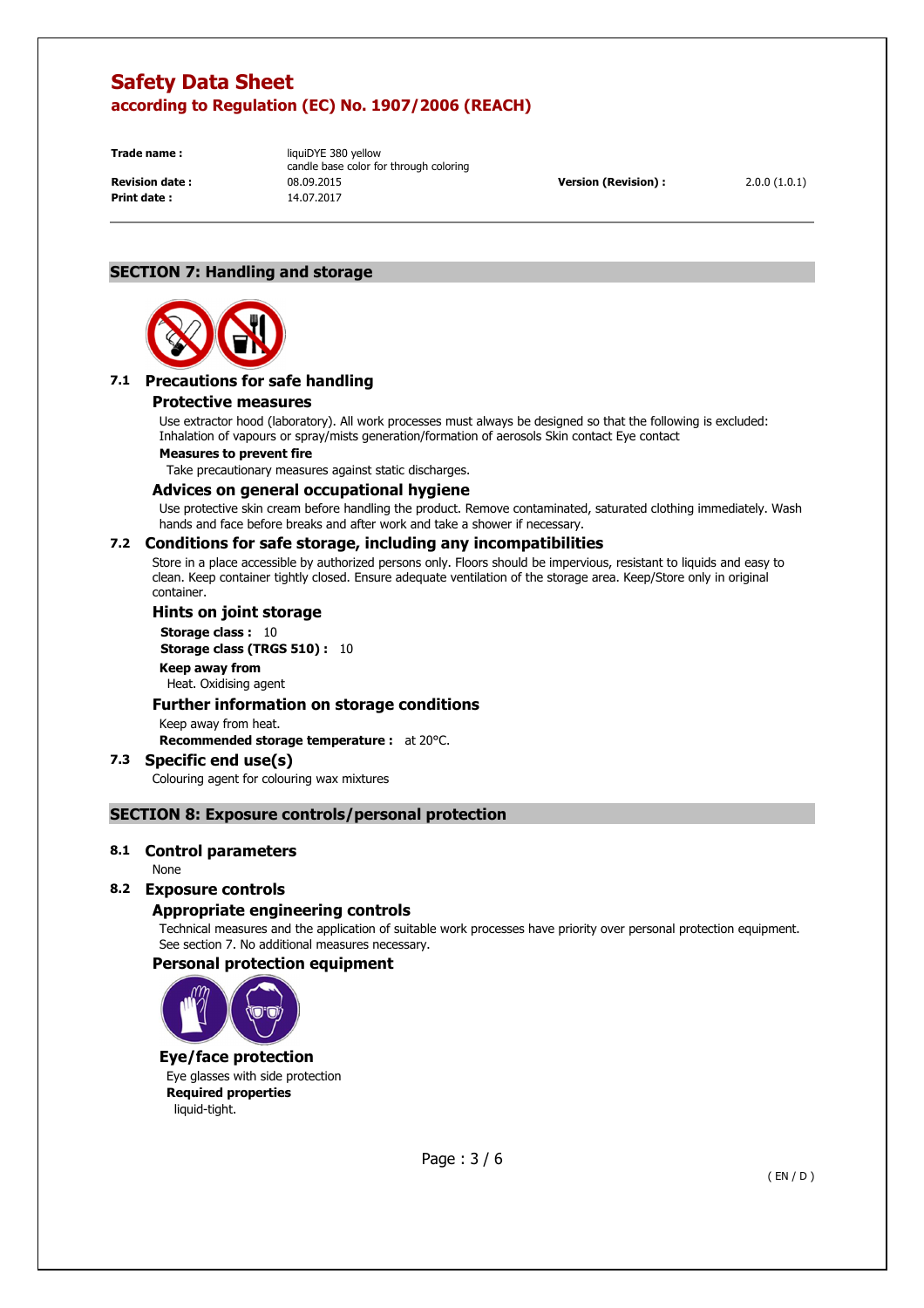**Print date :** 14.07.2017

**Trade name: liquiDYE 380 yellow** candle base color for through coloring **Revision date :** 08.09.2015 **Version (Revision) :** 2.0.0 (1.0.1)

# **SECTION 7: Handling and storage**



# **7.1 Precautions for safe handling**

### **Protective measures**

Use extractor hood (laboratory). All work processes must always be designed so that the following is excluded: Inhalation of vapours or spray/mists generation/formation of aerosols Skin contact Eye contact

#### **Measures to prevent fire**

Take precautionary measures against static discharges.

### **Advices on general occupational hygiene**

Use protective skin cream before handling the product. Remove contaminated, saturated clothing immediately. Wash hands and face before breaks and after work and take a shower if necessary.

### **7.2 Conditions for safe storage, including any incompatibilities**

Store in a place accessible by authorized persons only. Floors should be impervious, resistant to liquids and easy to clean. Keep container tightly closed. Ensure adequate ventilation of the storage area. Keep/Store only in original container.

### **Hints on joint storage**

**Storage class : 10 Storage class (TRGS 510) :** 10 **Keep away from**  Heat. Oxidising agent

### **Further information on storage conditions**

Keep away from heat.

**Recommended storage temperature :** at 20°C.

#### **7.3 Specific end use(s)**  Colouring agent for colouring wax mixtures

# **SECTION 8: Exposure controls/personal protection**

### **8.1 Control parameters**

None

### **8.2 Exposure controls**

### **Appropriate engineering controls**

Technical measures and the application of suitable work processes have priority over personal protection equipment. See section 7. No additional measures necessary.

### **Personal protection equipment**



### **Eye/face protection**

Eye glasses with side protection **Required properties**  liquid-tight.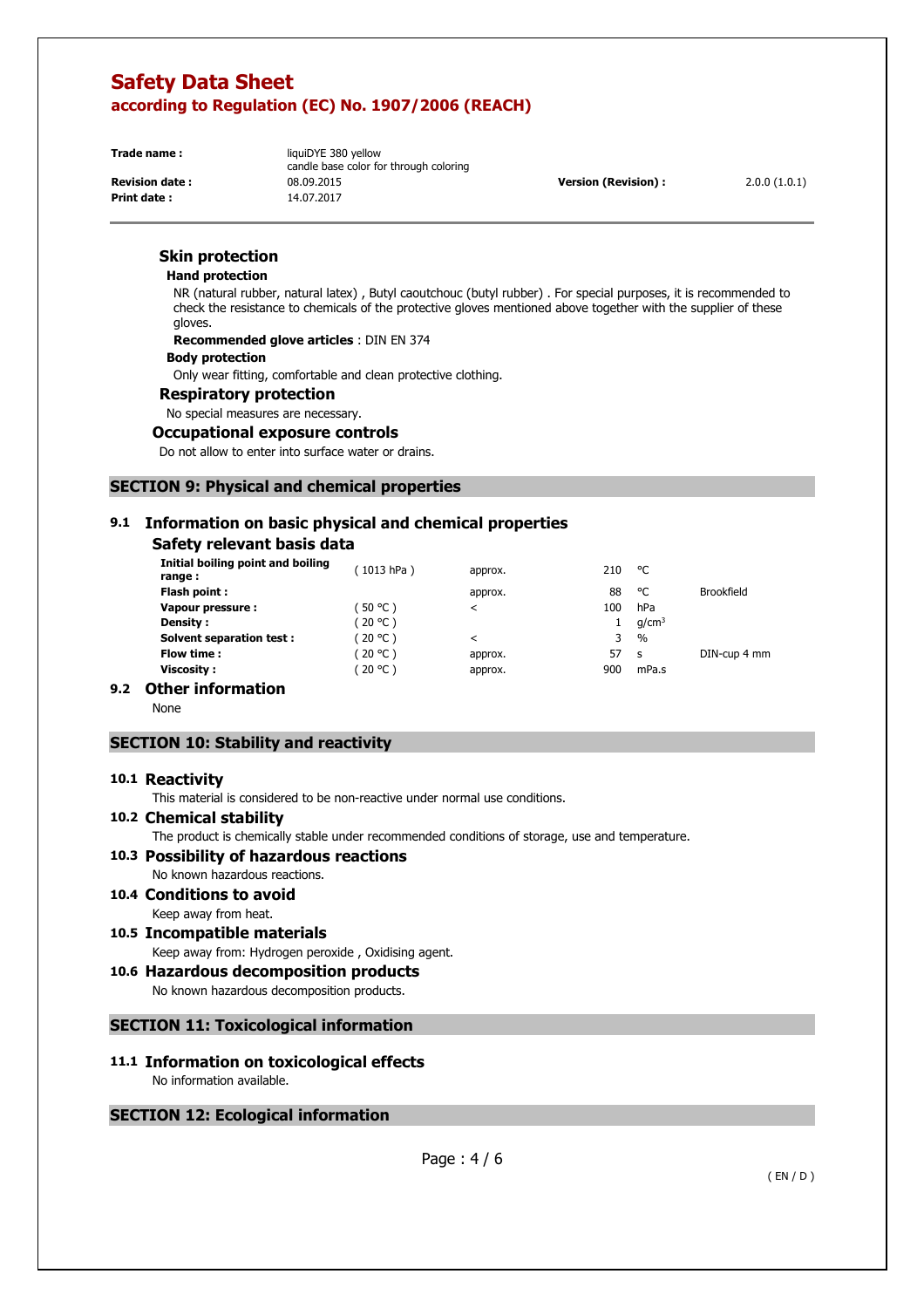**Print date :** 14.07.2017

**Trade name: liquiDYE 380 yellow** candle base color for through coloring **Revision date :** 08.09.2015 **Version (Revision) :** 2.0.0 (1.0.1)

### **Skin protection**

#### **Hand protection**

NR (natural rubber, natural latex) , Butyl caoutchouc (butyl rubber) . For special purposes, it is recommended to check the resistance to chemicals of the protective gloves mentioned above together with the supplier of these gloves.

**Recommended glove articles** : DIN EN 374

#### **Body protection**

Only wear fitting, comfortable and clean protective clothing.

#### **Respiratory protection**

No special measures are necessary.

#### **Occupational exposure controls**

Do not allow to enter into surface water or drains.

### **SECTION 9: Physical and chemical properties**

# **9.1 Information on basic physical and chemical properties**

## **Safety relevant basis data**

| Initial boiling point and boiling<br>range: | (1013 hPa) | approx. | 210 | °C                |                   |
|---------------------------------------------|------------|---------|-----|-------------------|-------------------|
| Flash point:                                |            | approx. | 88  | ۰c                | <b>Brookfield</b> |
| Vapour pressure:                            | $50 °C$ )  | ≺       | 100 | hPa               |                   |
| <b>Density:</b>                             | (20 °C )   |         |     | q/cm <sup>3</sup> |                   |
| <b>Solvent separation test:</b>             | 20 °C )    | $\,<\,$ | 3   | $\frac{0}{0}$     |                   |
| Flow time :                                 | 20 °C )    | approx. | 57  | <b>S</b>          | DIN-cup 4 mm      |
| Viscosity :                                 | (20 °C )   | approx. | 900 | mPa.s             |                   |
| .<br>- -                                    |            |         |     |                   |                   |

# **9.2 Other information**

None

### **SECTION 10: Stability and reactivity**

#### **10.1 Reactivity**

This material is considered to be non-reactive under normal use conditions.

#### **10.2 Chemical stability**

The product is chemically stable under recommended conditions of storage, use and temperature.

# **10.3 Possibility of hazardous reactions**

No known hazardous reactions.

- **10.4 Conditions to avoid**  Keep away from heat.
- **10.5 Incompatible materials**  Keep away from: Hydrogen peroxide , Oxidising agent.

# **10.6 Hazardous decomposition products**

No known hazardous decomposition products.

### **SECTION 11: Toxicological information**

### **11.1 Information on toxicological effects**  No information available.

### **SECTION 12: Ecological information**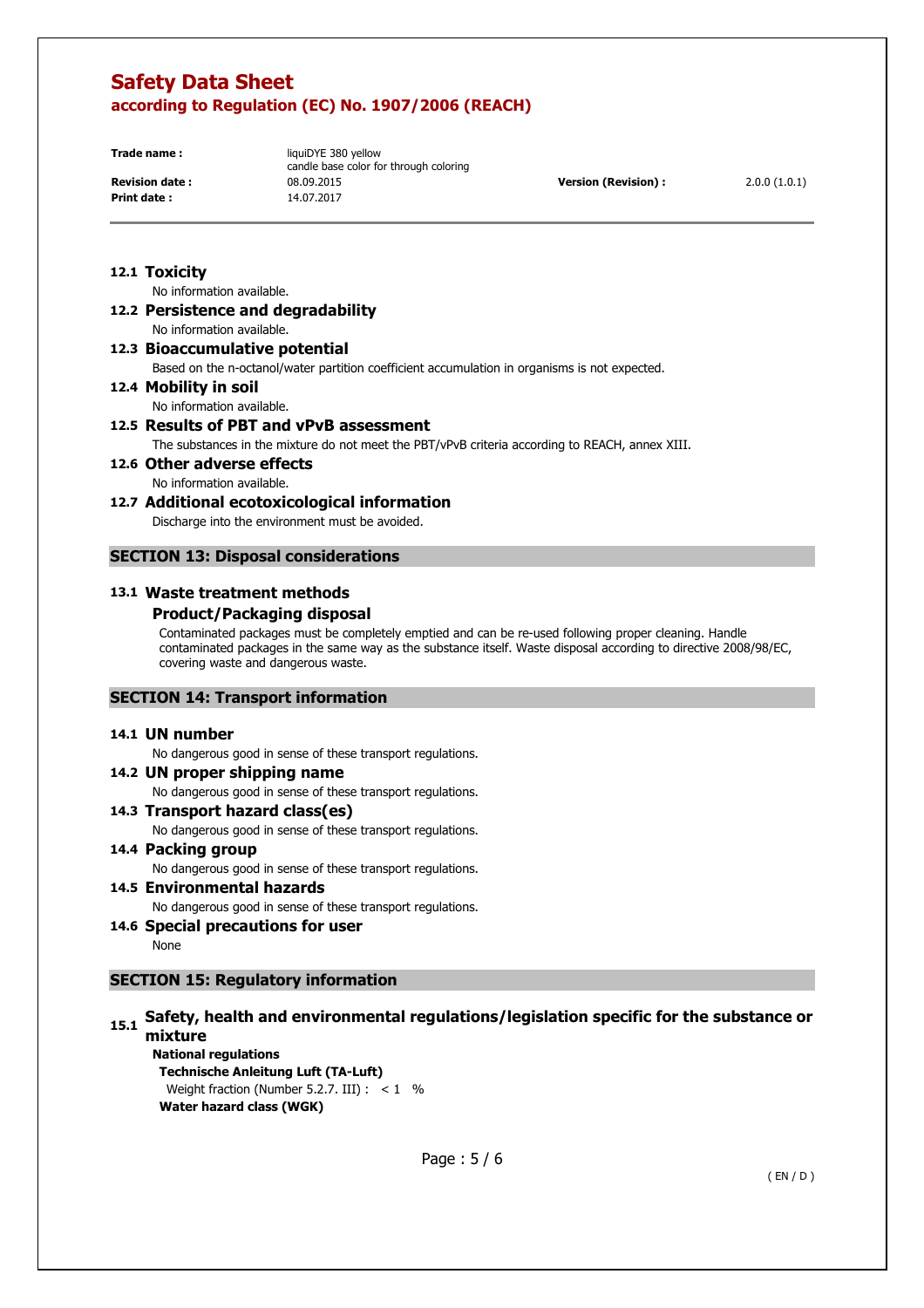**Print date :** 14.07.2017

**Trade name: liquiDYE 380 yellow** candle base color for through coloring **Revision date :** 08.09.2015 **Version (Revision) :** 2.0.0 (1.0.1)

### **12.1 Toxicity**

No information available.

**12.2 Persistence and degradability**  No information available.

**12.3 Bioaccumulative potential** 

Based on the n-octanol/water partition coefficient accumulation in organisms is not expected.

**12.4 Mobility in soil** 

No information available.

# **12.5 Results of PBT and vPvB assessment**

The substances in the mixture do not meet the PBT/vPvB criteria according to REACH, annex XIII.

**12.6 Other adverse effects**  No information available.

# **12.7 Additional ecotoxicological information**

Discharge into the environment must be avoided.

# **SECTION 13: Disposal considerations**

### **13.1 Waste treatment methods**

### **Product/Packaging disposal**

Contaminated packages must be completely emptied and can be re-used following proper cleaning. Handle contaminated packages in the same way as the substance itself. Waste disposal according to directive 2008/98/EC, covering waste and dangerous waste.

### **SECTION 14: Transport information**

### **14.1 UN number**

No dangerous good in sense of these transport regulations.

# **14.2 UN proper shipping name**

No dangerous good in sense of these transport regulations.

### **14.3 Transport hazard class(es)**

No dangerous good in sense of these transport regulations.

### **14.4 Packing group**

No dangerous good in sense of these transport regulations.

# **14.5 Environmental hazards**

No dangerous good in sense of these transport regulations.

# **14.6 Special precautions for user**

None

# **SECTION 15: Regulatory information**

# **15.1 Safety, health and environmental regulations/legislation specific for the substance or mixture**

**National regulations Technische Anleitung Luft (TA-Luft)**  Weight fraction (Number 5.2.7. III) :  $< 1$  % **Water hazard class (WGK)**